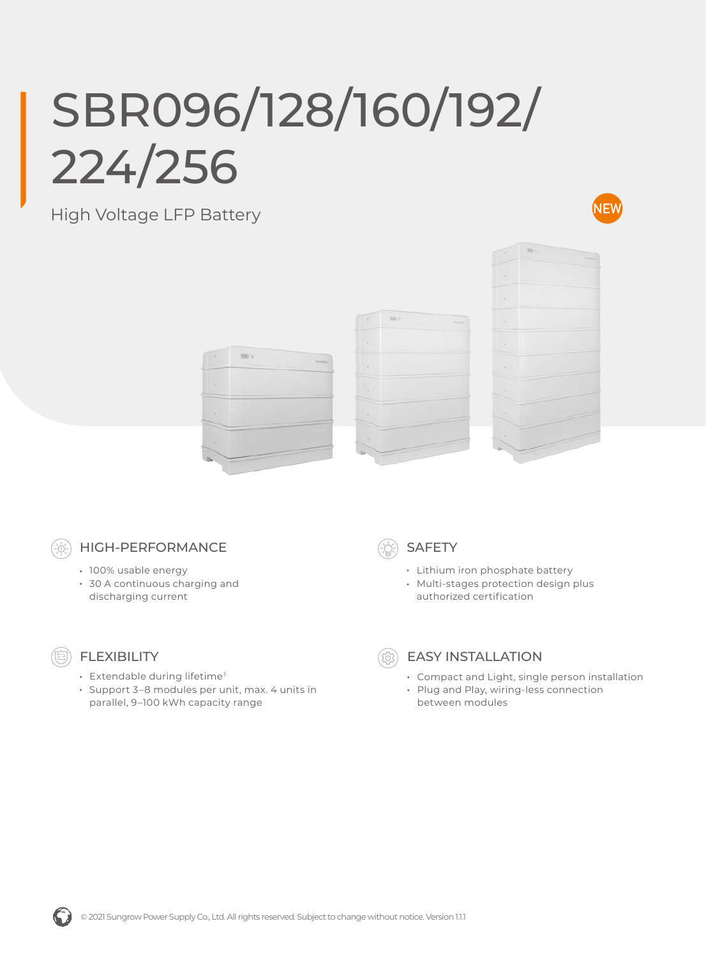## SBR096/128/160/192/ 224/256

## High Voltage LFP Battery









## HIGH-PERFORMANCE

- 100% usable energy
- 30 A continuous charging and discharging current



- Lithium iron phosphate battery
- Multi-stages protection design plus authorized certification



- FLEXIBILITY
- Extendable during lifetime<sup>1</sup>
- Support 3–8 modules per unit, max. 4 units in parallel, 9–100 kWh capacity range



## EASY INSTALLATION

- Compact and Light, single person installation
- Plug and Play, wiring-less connection between modules